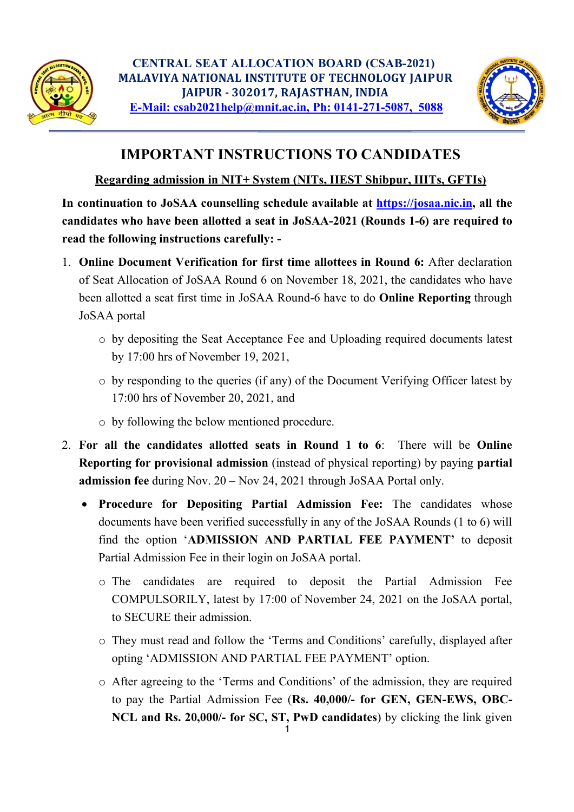



## IMPORTANT INSTRUCTIONS TO CANDIDATES

## Regarding admission in NIT+ System (NITs, IIEST Shibpur, IIITs, GFTIs)

In continuation to JoSAA counselling schedule available at https://josaa.nic.in, all the candidates who have been allotted a seat in JoSAA-2021 (Rounds 1-6) are required to read the following instructions carefully: -

- 1. Online Document Verification for first time allottees in Round 6: After declaration of Seat Allocation of JoSAA Round 6 on November 18, 2021, the candidates who have been allotted a seat first time in JoSAA Round-6 have to do Online Reporting through JoSAA portal
	- o by depositing the Seat Acceptance Fee and Uploading required documents latest by 17:00 hrs of November 19, 2021,
	- o by responding to the queries (if any) of the Document Verifying Officer latest by 17:00 hrs of November 20, 2021, and
	- o by following the below mentioned procedure.
- 2. For all the candidates allotted seats in Round 1 to 6: There will be Online Reporting for provisional admission (instead of physical reporting) by paying partial admission fee during Nov. 20 – Nov 24, 2021 through JoSAA Portal only.
	- Procedure for Depositing Partial Admission Fee: The candidates whose documents have been verified successfully in any of the JoSAA Rounds (1 to 6) will find the option 'ADMISSION AND PARTIAL FEE PAYMENT' to deposit Partial Admission Fee in their login on JoSAA portal.
		- o The candidates are required to deposit the Partial Admission Fee COMPULSORILY, latest by 17:00 of November 24, 2021 on the JoSAA portal, to SECURE their admission.
		- o They must read and follow the 'Terms and Conditions' carefully, displayed after opting 'ADMISSION AND PARTIAL FEE PAYMENT' option.
		- $1$  and  $1$  and  $1$  and  $1$  and  $1$  and  $1$ o After agreeing to the 'Terms and Conditions' of the admission, they are required to pay the Partial Admission Fee (Rs. 40,000/- for GEN, GEN-EWS, OBC-NCL and Rs. 20,000/- for SC, ST, PwD candidates) by clicking the link given